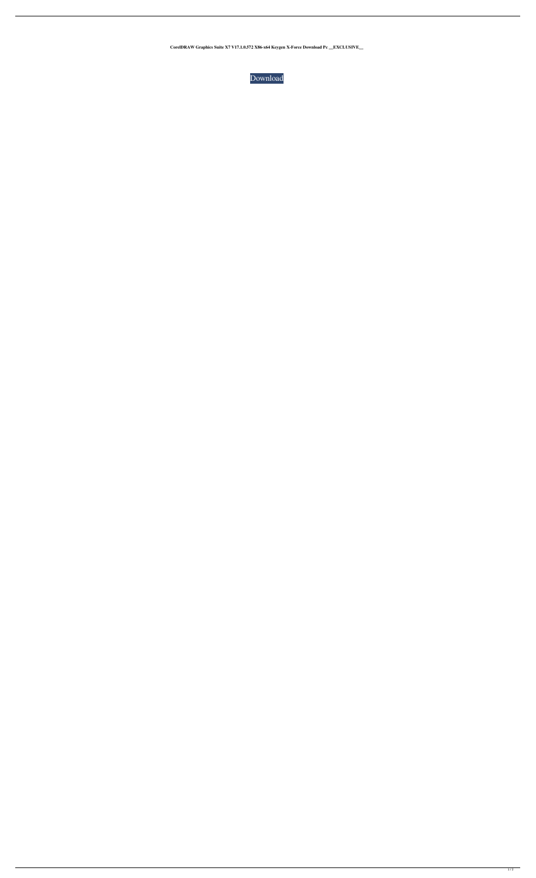**CorelDRAW Graphics Suite X7 V17.1.0.572 X86-x64 Keygen X-Force Download Pc \_\_EXCLUSIVE\_\_**